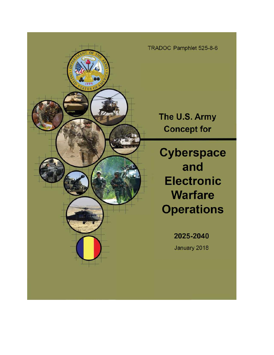

The U.S. Army **Concept for** 

**Cyberspace** and **Electronic Warfare Operations** 

2025-2040

January 2018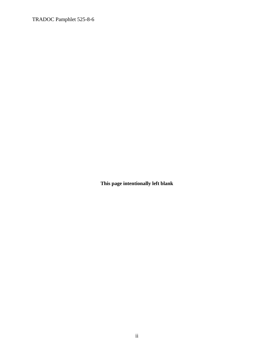**This page intentionally left blank**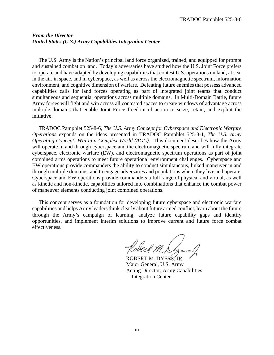#### *From the Director United States (U.S.) Army Capabilities Integration Center*

The U.S. Army is the Nation's principal land force organized, trained, and equipped for prompt and sustained combat on land. Today's adversaries have studied how the U.S. Joint Force prefers to operate and have adapted by developing capabilities that contest U.S. operations on land, at sea, in the air, in space, and in cyberspace, as well as across the electromagnetic spectrum, information environment, and cognitive dimension of warfare. Defeating future enemies that possess advanced capabilities calls for land forces operating as part of integrated joint teams that conduct simultaneous and sequential operations across multiple domains. In Multi-Domain Battle, future Army forces will fight and win across all contested spaces to create windows of advantage across multiple domains that enable Joint Force freedom of action to seize, retain, and exploit the initiative.

TRADOC Pamphlet 525-8-6, *The U.S. Army Concept for Cyberspace and Electronic Warfare Operations* expands on the ideas presented in TRADOC Pamphlet 525-3-1, *The U.S. Army Operating Concept: Win in a Complex World (AOC)*. This document describes how the Army will operate in and through cyberspace and the electromagnetic spectrum and will fully integrate cyberspace, electronic warfare (EW), and electromagnetic spectrum operations as part of joint combined arms operations to meet future operational environment challenges. Cyberspace and EW operations provide commanders the ability to conduct simultaneous, linked maneuver in and through multiple domains, and to engage adversaries and populations where they live and operate. Cyberspace and EW operations provide commanders a full range of physical and virtual, as well as kinetic and non-kinetic, capabilities tailored into combinations that enhance the combat power of maneuver elements conducting joint combined operations.

This concept serves as a foundation for developing future cyberspace and electronic warfare capabilities and helps Army leaders think clearly about future armed conflict, learn about the future through the Army's campaign of learning, analyze future capability gaps and identify opportunities, and implement interim solutions to improve current and future force combat effectiveness.

ROBERT M. DYESS, JR. Major General, U.S. Army Acting Director, Army Capabilities Integration Center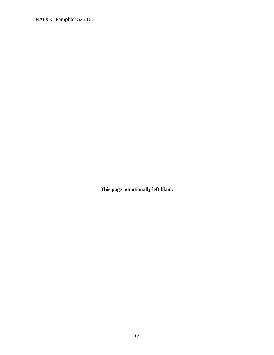**This page intentionally left blank**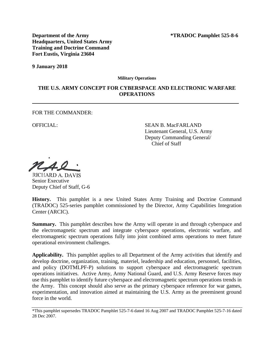**Department of the Army**  $*$ **TRADOC Pamphlet 525-8-6 Headquarters, United States Army Training and Doctrine Command Fort Eustis, Virginia 23604** 

**9 January 2018**

**Military Operations**

# **THE U.S. ARMY CONCEPT FOR CYBERSPACE AND ELECTRONIC WARFARE OPERATIONS**

FOR THE COMMANDER:

OFFICIAL: SEAN B. MacFARLAND Lieutenant General, U.S. Army Deputy Commanding General/ Chief of Staff

RICHARD A. DAVIS Senior Executive Deputy Chief of Staff, G-6

**History.** This pamphlet is a new United States Army Training and Doctrine Command (TRADOC) 525-series pamphlet commissioned by the Director, Army Capabilities Integration Center (ARCIC).

**Summary.** This pamphlet describes how the Army will operate in and through cyberspace and the electromagnetic spectrum and integrate cyberspace operations, electronic warfare, and electromagnetic spectrum operations fully into joint combined arms operations to meet future operational environment challenges.

**Applicability.** This pamphlet applies to all Department of the Army activities that identify and develop doctrine, organization, training, materiel, leadership and education, personnel, facilities, and policy (DOTMLPF-P) solutions to support cyberspace and electromagnetic spectrum operations initiatives. Active Army, Army National Guard, and U.S. Army Reserve forces may use this pamphlet to identify future cyberspace and electromagnetic spectrum operations trends in the Army. This concept should also serve as the primary cyberspace reference for war games, experimentation, and innovation aimed at maintaining the U.S. Army as the preeminent ground force in the world.

<sup>\*</sup>This pamphlet supersedes TRADOC Pamphlet 525-7-6 dated 16 Aug 2007 and TRADOC Pamphlet 525-7-16 dated 28 Dec 2007.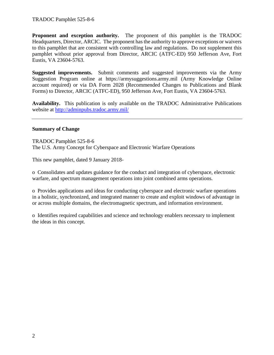**Proponent and exception authority.** The proponent of this pamphlet is the TRADOC Headquarters, Director, ARCIC. The proponent has the authority to approve exceptions or waivers to this pamphlet that are consistent with controlling law and regulations. Do not supplement this pamphlet without prior approval from Director, ARCIC (ATFC-ED) 950 Jefferson Ave, Fort Eustis, VA 23604-5763.

**Suggested improvements.** Submit comments and suggested improvements via the Army Suggestion Program online at https://armysuggestions.army.mil (Army Knowledge Online account required) or via DA Form 2028 (Recommended Changes to Publications and Blank Forms) to Director, ARCIC (ATFC-ED), 950 Jefferson Ave, Fort Eustis, VA 23604-5763.

**Availability.** This publication is only available on the TRADOC Administrative Publications website at <http://adminpubs.tradoc.army.mil/>

# **Summary of Change**

TRADOC Pamphlet 525-8-6 The U.S. Army Concept for Cyberspace and Electronic Warfare Operations

This new pamphlet, dated 9 January 2018-

o Consolidates and updates guidance for the conduct and integration of cyberspace, electronic warfare, and spectrum management operations into joint combined arms operations.

o Provides applications and ideas for conducting cyberspace and electronic warfare operations in a holistic, synchronized, and integrated manner to create and exploit windows of advantage in or across multiple domains, the electromagnetic spectrum, and information environment.

o Identifies required capabilities and science and technology enablers necessary to implement the ideas in this concept.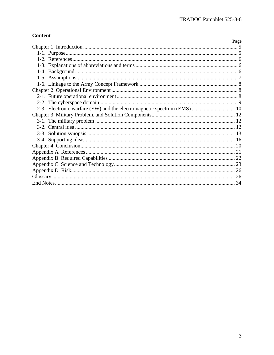# **Content**

|                                                                         | Page |
|-------------------------------------------------------------------------|------|
|                                                                         |      |
|                                                                         |      |
|                                                                         |      |
|                                                                         |      |
|                                                                         |      |
|                                                                         |      |
|                                                                         |      |
|                                                                         |      |
|                                                                         |      |
|                                                                         |      |
| 2-3. Electronic warfare (EW) and the electromagnetic spectrum (EMS)  10 |      |
|                                                                         |      |
|                                                                         |      |
|                                                                         |      |
|                                                                         |      |
|                                                                         |      |
|                                                                         |      |
|                                                                         |      |
|                                                                         |      |
|                                                                         |      |
|                                                                         |      |
|                                                                         |      |
|                                                                         |      |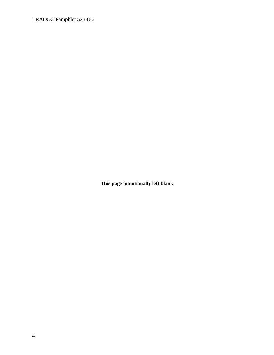**This page intentionally left blank**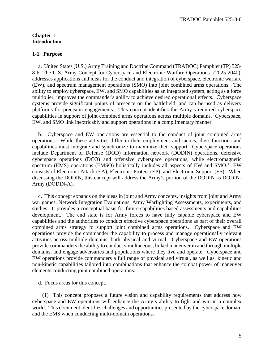# <span id="page-8-1"></span><span id="page-8-0"></span>**Chapter 1 Introduction**

### <span id="page-8-2"></span>**1-1. Purpose**

a. United States (U.S.) Army Training and Doctrine Command (TRADOC) Pamphlet (TP) 525- 8-6, The U.S. Army Concept for Cyberspace and Electronic Warfare Operations (2025-2040), addresses applications and ideas for the conduct and integration of cyberspace, electronic warfare (EW), and spectrum management operations (SMO) into joint combined arms operations. The ability to employ cyberspace, EW, and SMO capabilities as an integrated system, acting as a force multiplier, improves the commander's ability to achieve desired operational effects. Cyberspace systems provide significant points of presence on the battlefield, and can be used as delivery platforms for precision engagements. This concept identifies the Army's required cyberspace capabilities in support of joint combined arms operations across multiple domains. Cyberspace, EW, and SMO link inextricably and support operations in a complimentary manner.

b. Cyberspace and EW operations are essential to the conduct of joint combined arms operations. While these activities differ in their employment and tactics, their functions and capabilities must integrate and synchronize to maximize their support. Cyberspace operations include Department of Defense (DOD) information network (DODIN) operations, defensive cyberspace operations (DCO) and offensive cyberspace operations, while electromagnetic spectrum (EMS) operations (EMSO) holistically includes all aspects of EW and SMO.<sup>[1](#page-37-1)</sup> EW consists of Electronic Attack (EA), Electronic Protect (EP), and Electronic Support (ES). When discussing the DODIN, this concept will address the Army's portion of the DODIN as DODIN-Army (DODIN-A).

c. This concept expands on the ideas in joint and Army concepts, insights from joint and Army war games, Network Integration Evaluations, Army Warfighting Assessments, experiments, and studies. It provides a conceptual basis for future capabilities based assessments and capabilities development. The end state is for Army forces to have fully capable cyberspace and EW capabilities and the authorities to conduct effective cyberspace operations as part of their overall combined arms strategy to support joint combined arms operations. Cyberspace and EW operations provide the commander the capability to process and manage operationally relevant activities across multiple domains, both physical and virtual. Cyberspace and EW operations provide commanders the ability to conduct simultaneous, linked maneuver in and through multiple domains, and engage adversaries and populations where they live and operate. Cyberspace and EW operations provide commanders a full range of physical and virtual, as well as, kinetic and non-kinetic capabilities tailored into combinations that enhance the combat power of maneuver elements conducting joint combined operations.

d. Focus areas for this concept.

(1) This concept proposes a future vision and capability requirements that address how cyberspace and EW operations will enhance the Army's ability to fight and win in a complex world. This document identifies challenges and opportunities presented by the cyberspace domain and the EMS when conducting multi-domain operations.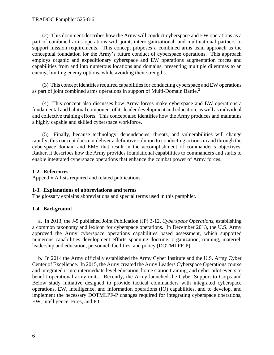(2) This document describes how the Army will conduct cyberspace and EW operations as a part of combined arms operations with joint, interorganizational, and multinational partners to support mission requirements. This concept proposes a combined arms team approach as the conceptual foundation for the Army's future conduct of cyberspace operations. This approach employs organic and expeditionary cyberspace and EW operations augmentation forces and capabilities from and into numerous locations and domains, presenting multiple dilemmas to an enemy, limiting enemy options, while avoiding their strengths.

(3) This concept identifies required capabilities for conducting cyberspace and EW operations as part of joint combined arms operations in support of Multi-Domain Battle.<sup>[2](#page-37-2)</sup>

(4) This concept also discusses how Army forces make cyberspace and EW operations a fundamental and habitual component of its leader development and education, as well as individual and collective training efforts. This concept also identifies how the Army produces and maintains a highly capable and skilled cyberspace workforce.

(5) Finally, because technology, dependencies, threats, and vulnerabilities will change rapidly, this concept does not deliver a definitive solution to conducting actions in and through the cyberspace domain and EMS that result in the accomplishment of commander's objectives. Rather, it describes how the Army provides foundational capabilities to commanders and staffs to enable integrated cyberspace operations that enhance the combat power of Army forces.

# <span id="page-9-0"></span>**1-2. References**

Appendix A lists required and related publications.

# <span id="page-9-1"></span>**1-3. Explanations of abbreviations and terms**

The glossary explains abbreviations and special terms used in this pamphlet.

# <span id="page-9-2"></span>**1-4. Background**

a. In 2013, the J-5 published Joint Publication (JP) 3-12, *Cyberspace Operations*, establishing a common taxonomy and lexicon for cyberspace operations. In December 2013, the U.S. Army approved the Army cyberspace operations capabilities based assessment, which supported numerous capabilities development efforts spanning doctrine, organization, training, materiel, leadership and education, personnel, facilities, and policy (DOTMLPF-P).

b. In 2014 the Army officially established the Army Cyber Institute and the U.S. Army Cyber Center of Excellence. In 2015, the Army created the Army Leaders Cyberspace Operations course and integrated it into intermediate level education, home station training, and cyber pilot events to benefit operational army units. Recently, the Army launched the Cyber Support to Corps and Below study initiative designed to provide tactical commanders with integrated cyberspace operations, EW, intelligence, and information operations (IO) capabilities, and to develop, and implement the necessary DOTMLPF-P changes required for integrating cyberspace operations, EW, intelligence, Fires, and IO.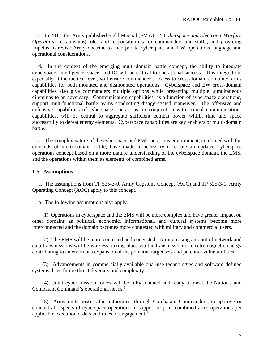c. In 2017, the Army published Field Manual (FM) 3-12, *Cyberspace and Electronic Warfare Operations*, establishing roles and responsibilities for commanders and staffs, and providing impetus to revise Army doctrine to incorporate cyberspace and EW operations language and operational considerations.

d. In the context of the emerging multi-domain battle concept, the ability to integrate cyberspace, intelligence, space, and IO will be critical to operational success. This integration, especially at the tactical level, will ensure commander's access to cross-domain combined arms capabilities for both mounted and dismounted operations. Cyberspace and EW cross-domain capabilities also give commanders multiple options while presenting multiple, simultaneous dilemmas to an adversary. Communication capabilities, as a function of cyberspace operations, support multifunctional battle teams conducting disaggregated maneuver. The offensive and defensive capabilities of cyberspace operations, in conjunction with critical communications capabilities, will be central to aggregate sufficient combat power within time and space successfully to defeat enemy elements. Cyberspace capabilities are key enablers of multi-domain battle.

e. The complex nature of the cyberspace and EW operations environment, combined with the demands of multi-domain battle, have made it necessary to create an updated cyberspace operations concept based on a more mature understanding of the cyberspace domain, the EMS, and the operations within them as elements of combined arms.

### <span id="page-10-0"></span>**1-5. Assumptions**

a. The assumptions from TP 525-3-0, Army Capstone Concept (ACC) and TP 525-3-1, Army Operating Concept (AOC) apply to this concept.

b. The following assumptions also apply.

(1) Operations in cyberspace and the EMS will be more complex and have greater impact on other domains as political, economic, informational, and cultural systems become more interconnected and the domain becomes more congested with military and commercial users.

(2) The EMS will be more contested and congested. An increasing amount of network and data transmissions will be wireless, taking place via the transmission of electromagnetic energy contributing to an enormous expansion of the potential target sets and potential vulnerabilities.

(3) Advancements in commercially available dual-use technologies and software defined systems drive future threat diversity and complexity.

(4) Joint cyber mission forces will be fully manned and ready to meet the Nation's and Combatant Command's operational needs. [3](#page-37-3)

(5) Army units possess the authorities, through Combatant Commanders, to approve or conduct all aspects of cyberspace operations in support of joint combined arms operations per applicable execution orders and rules of engagement.[4](#page-37-4)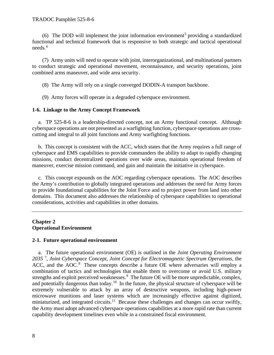(6) The DOD will implement the joint information environment<sup>[5](#page-37-5)</sup> providing a standardized functional and technical framework that is responsive to both strategic and tactical operational needs.<sup>[6](#page-37-6)</sup>

(7) Army units will need to operate with joint, interorganizational, and multinational partners to conduct strategic and operational movement, reconnaissance, and security operations, joint combined arms maneuver, and wide area security.

(8) The Army will rely on a single converged DODIN-A transport backbone.

(9) Army forces will operate in a degraded cyberspace environment.

# <span id="page-11-0"></span>**1-6. Linkage to the Army Concept Framework**

a. TP 525-8-6 is a leadership-directed concept, not an Army functional concept. Although cyberspace operations are not presented as a warfighting function, cyberspace operations are crosscutting and integral to all joint functions and Army warfighting functions.

b. This concept is consistent with the ACC, which states that the Army requires a full range of cyberspace and EMS capabilities to provide commanders the ability to adapt to rapidly changing missions, conduct decentralized operations over wide areas, maintain operational freedom of maneuver, exercise mission command, and gain and maintain the initiative in cyberspace.

c. This concept expounds on the AOC regarding cyberspace operations. The AOC describes the Army's contribution to globally integrated operations and addresses the need for Army forces to provide foundational capabilities for the Joint Force and to project power from land into other domains. This document also addresses the relationship of cyberspace capabilities to operational considerations, activities and capabilities in other domains.

# <span id="page-11-2"></span><span id="page-11-1"></span>**Chapter 2 Operational Environment**

# <span id="page-11-3"></span>**2-1. Future operational environment**

a. The future operational environment (OE) is outlined in the *Joint Operating Environment 2035* [7](#page-37-7) , *Joint Cyberspace Concept*, *Joint Concept for Electromagnetic Spectrum Operations,* the ACC, and the AOC.<sup>[8](#page-37-8)</sup> These concepts describe a future OE where adversaries will employ a combination of tactics and technologies that enable them to overcome or avoid U.S. military strengths and exploit perceived weaknesses.<sup>[9](#page-37-9)</sup> The future OE will be more unpredictable, complex, and potentially dangerous than today.<sup>[10](#page-37-10)</sup> In the future, the physical structure of cyberspace will be extremely vulnerable to attack by an array of destructive weapons, including high-power microwave munitions and laser systems which are increasingly effective against digitized, miniaturized, and integrated circuits.<sup>[11](#page-37-11)</sup> Because these challenges and changes can occur swiftly, the Army must adopt advanced cyberspace operations capabilities at a more rapid rate than current capability development timelines even while in a constrained fiscal environment.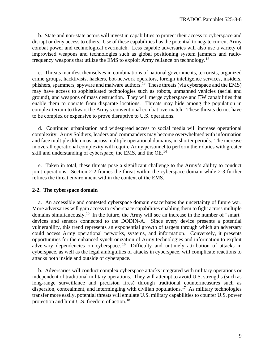b. State and non-state actors will invest in capabilities to protect their access to cyberspace and disrupt or deny access to others. Use of these capabilities has the potential to negate current Army combat power and technological overmatch. Less capable adversaries will also use a variety of improvised weapons and technologies such as global positioning system jammers and radio-frequency weapons that utilize the EMS to exploit Army reliance on technology.<sup>[12](#page-37-12)</sup>

c. Threats manifest themselves in combinations of national governments, terrorists, organized crime groups, hacktivists, hackers, bot-network operators, foreign intelligence services, insiders, phishers, spammers, spyware and malware authors.<sup>[13](#page-37-13)</sup> These threats (via cyberspace and the EMS) may have access to sophisticated technologies such as robots, unmanned vehicles (aerial and ground), and weapons of mass destruction. They will merge cyberspace and EW capabilities that enable them to operate from disparate locations. Threats may hide among the population in complex terrain to thwart the Army's conventional combat overmatch. These threats do not have to be complex or expensive to prove disruptive to U.S. operations.

d. Continued urbanization and widespread access to social media will increase operational complexity. Army Soldiers, leaders and commanders may become overwhelmed with information and face multiple dilemmas, across multiple operational domains, in shorter periods. The increase in overall operational complexity will require Army personnel to perform their duties with greater skill and understanding of cyberspace, the EMS, and the OE.<sup>[14](#page-37-14)</sup>

e. Taken in total, these threats pose a significant challenge to the Army's ability to conduct joint operations. Section 2-2 frames the threat within the cyberspace domain while 2-3 further refines the threat environment within the context of the EMS.

# <span id="page-12-0"></span>**2-2. The cyberspace domain**

a. An accessible and contested cyberspace domain exacerbates the uncertainty of future war. More adversaries will gain access to cyberspace capabilities enabling them to fight across multiple domains simultaneously.<sup>[15](#page-37-15)</sup> In the future, the Army will see an increase in the number of "smart" devices and sensors connected to the DODIN-A. Since every device presents a potential vulnerability, this trend represents an exponential growth of targets through which an adversary could access Army operational networks, systems, and information. Conversely, it presents opportunities for the enhanced synchronization of Army technologies and information to exploit adversary dependencies on cyberspace. [16](#page-37-16) Difficulty and untimely attribution of attacks in cyberspace, as well as the legal ambiguities of attacks in cyberspace, will complicate reactions to attacks both inside and outside of cyberspace.

b. Adversaries will conduct complex cyberspace attacks integrated with military operations or independent of traditional military operations. They will attempt to avoid U.S. strengths (such as long-range surveillance and precision fires) through traditional countermeasures such as dispersion, concealment, and intermingling with civilian populations.<sup>[17](#page-37-17)</sup> As military technologies transfer more easily, potential threats will emulate U.S. military capabilities to counter U.S. power projection and limit U.S. freedom of action.[18](#page-37-18)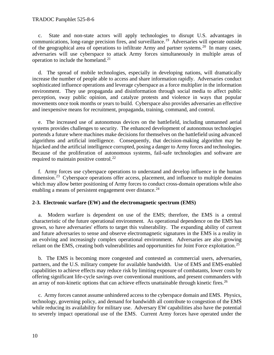c. State and non-state actors will apply technologies to disrupt U.S. advantages in communications, long-range precision fires, and surveillance.[19](#page-37-19) Adversaries will operate outside of the geographical area of operations to infiltrate Army and partner systems.<sup>[20](#page-37-20)</sup> In many cases, adversaries will use cyberspace to attack Army forces simultaneously in multiple areas of operation to include the homeland.<sup>[21](#page-37-21)</sup>

d. The spread of mobile technologies, especially in developing nations, will dramatically increase the number of people able to access and share information rapidly. Adversaries conduct sophisticated influence operations and leverage cyberspace as a force multiplier in the information environment. They use propaganda and disinformation through social media to affect public perception, sway public opinion, and catalyze protests and violence in ways that popular movements once took months or years to build. Cyberspace also provides adversaries an effective and inexpensive means for recruitment, propaganda, training, command, and control.

e. The increased use of autonomous devices on the battlefield, including unmanned aerial systems provides challenges to security. The enhanced development of autonomous technologies portends a future where machines make decisions for themselves on the battlefield using advanced algorithms and artificial intelligence. Consequently, that decision-making algorithm may be hijacked and the artificial intelligence corrupted, posing a danger to Army forces and technologies. Because of the proliferation of autonomous systems, fail-safe technologies and software are required to maintain positive control.<sup>[22](#page-37-22)</sup>

f. Army forces use cyberspace operations to understand and develop influence in the human dimension.<sup>[23](#page-37-23)</sup> Cyberspace operations offer access, placement, and influence to multiple domains which may allow better positioning of Army forces to conduct cross-domain operations while also enabling a means of persistent engagement over distance.<sup>[24](#page-37-24)</sup>

# <span id="page-13-0"></span>**2-3. Electronic warfare (EW) and the electromagnetic spectrum (EMS)**

a. Modern warfare is dependent on use of the EMS; therefore, the EMS is a central characteristic of the future operational environment. As operational dependence on the EMS has grown, so have adversaries' efforts to target this vulnerability. The expanding ability of current and future adversaries to sense and observe electromagnetic signatures in the EMS is a reality in an evolving and increasingly complex operational environment. Adversaries are also growing reliant on the EMS, creating both vulnerabilities and opportunities for Joint Force exploitation.<sup>[25](#page-37-25)</sup>

b. The EMS is becoming more congested and contested as commercial users, adversaries, partners, and the U.S. military compete for available bandwidth. Use of EMS and EMS-enabled capabilities to achieve effects may reduce risk by limiting exposure of combatants, lower costs by offering significant life-cycle savings over conventional munitions, and present commanders with an array of non-kinetic options that can achieve effects unattainable through kinetic fires.<sup>[26](#page-37-26)</sup>

c. Army forces cannot assume unhindered access to the cyberspace domain and EMS. Physics, technology, governing policy, and demand for bandwidth all contribute to congestion of the EMS while reducing its availability for military use. Adversary EW capabilities also have the potential to severely impact operational use of the EMS. Current Army forces have operated under the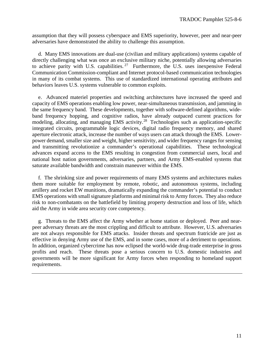assumption that they will possess cyberspace and EMS superiority, however, peer and near-peer adversaries have demonstrated the ability to challenge this assumption.

d. Many EMS innovations are dual-use (civilian and military applications) systems capable of directly challenging what was once an exclusive military niche, potentially allowing adversaries to achieve parity with U.S. capabilities.  $27$  Furthermore, the U.S. uses inexpensive Federal Communication Commission-compliant and Internet protocol-based communication technologies in many of its combat systems. This use of standardized international operating attributes and behaviors leaves U.S. systems vulnerable to common exploits.

e. Advanced materiel properties and switching architectures have increased the speed and capacity of EMS operations enabling low power, near-simultaneous transmission, and jamming in the same frequency band. These developments, together with software-defined algorithms, wideband frequency hopping, and cognitive radios, have already outpaced current practices for modeling, allocating, and managing EMS activity.[28](#page-37-28) Technologies such as application-specific integrated circuits, programmable logic devices, digital radio frequency memory, and shared aperture electronic attack, increase the number of ways users can attack through the EMS. Lowerpower demand, smaller size and weight, higher sensitivity, and wider frequency ranges for sensing and transmitting revolutionize a commander's operational capabilities. These technological advances expand access to the EMS resulting in congestion from commercial users, local and national host nation governments, adversaries, partners, and Army EMS-enabled systems that saturate available bandwidth and constrain maneuver within the EMS.

f. The shrinking size and power requirements of many EMS systems and architectures makes them more suitable for employment by remote, robotic, and autonomous systems, including artillery and rocket EW munitions, dramatically expanding the commander's potential to conduct EMS operations with small signature platforms and minimal risk to Army forces. They also reduce risk to non-combatants on the battlefield by limiting property destruction and loss of life, which aid the Army in wide area security core competency.

g. Threats to the EMS affect the Army whether at home station or deployed. Peer and nearpeer adversary threats are the most crippling and difficult to attribute. However, U.S. adversaries are not always responsible for EMS attacks. Insider threats and spectrum fratricide are just as effective in denying Army use of the EMS, and in some cases, more of a detriment to operations. In addition, organized cybercrime has now eclipsed the world-wide drug-trade enterprise in gross profits and reach. These threats pose a serious concern to U.S. domestic industries and governments will be more significant for Army forces when responding to homeland support requirements.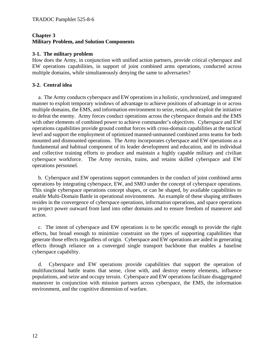# <span id="page-15-1"></span><span id="page-15-0"></span>**Chapter 3 Military Problem, and Solution Components**

# <span id="page-15-2"></span>**3-1. The military problem**

How does the Army, in conjunction with unified action partners, provide critical cyberspace and EW operations capabilities, in support of joint combined arms operations, conducted across multiple domains, while simultaneously denying the same to adversaries?

# <span id="page-15-3"></span>**3-2. Central idea**

a. The Army conducts cyberspace and EW operationsin a holistic, synchronized, and integrated manner to exploit temporary windows of advantage to achieve positions of advantage in or across multiple domains, the EMS, and information environment to seize, retain, and exploit the initiative to defeat the enemy. Army forces conduct operations across the cyberspace domain and the EMS with other elements of combined power to achieve commander's objectives. Cyberspace and EW operations capabilities provide ground combat forces with cross-domain capabilities at the tactical level and support the employment of optimized manned-unmanned combined arms teams for both mounted and dismounted operations. The Army incorporates cyberspace and EW operations as a fundamental and habitual component of its leader development and education, and its individual and collective training efforts to produce and maintain a highly capable military and civilian cyberspace workforce. The Army recruits, trains, and retains skilled cyberspace and EW operations personnel.

b. Cyberspace and EW operations support commanders in the conduct of joint combined arms operations by integrating cyberspace, EW, and SMO under the concept of cyberspace operations. This single cyberspace operations concept shapes, or can be shaped, by available capabilities to enable Multi-Domain Battle in operational environments. An example of these shaping attributes resides in the convergence of cyberspace operations, information operations, and space operations to project power outward from land into other domains and to ensure freedom of maneuver and action.

c. The intent of cyberspace and EW operations is to be specific enough to provide the right effects, but broad enough to minimize constraint on the types of supporting capabilities that generate those effects regardless of origin. Cyberspace and EW operations are aided in generating effects through reliance on a converged single transport backbone that enables a baseline cyberspace capability.

<span id="page-15-4"></span>d. Cyberspace and EW operations provide capabilities that support the operation of multifunctional battle teams that sense, close with, and destroy enemy elements, influence populations, and seize and occupy terrain. Cyberspace and EW operations facilitate disaggregated maneuver in conjunction with mission partners across cyberspace, the EMS, the information environment, and the cognitive dimension of warfare.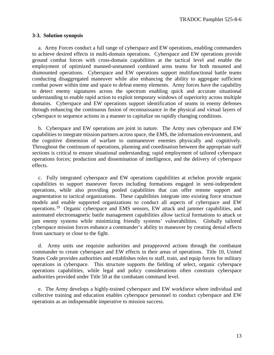### **3-3. Solution synopsis**

a. Army Forces conduct a full range of cyberspace and EW operations, enabling commanders to achieve desired effects in multi-domain operations. Cyberspace and EW operations provide ground combat forces with cross-domain capabilities at the tactical level and enable the employment of optimized manned-unmanned combined arms teams for both mounted and dismounted operations. Cyberspace and EW operations support multifunctional battle teams conducting disaggregated maneuver while also enhancing the ability to aggregate sufficient combat power within time and space to defeat enemy elements. Army forces have the capability to detect enemy signatures across the spectrum enabling quick and accurate situational understanding to enable rapid action to exploit temporary windows of superiority across multiple domains. Cyberspace and EW operations support identification of seams in enemy defenses through enhancing the continuous fusion of reconnaissance in the physical and virtual layers of cyberspace to sequence actions in a manner to capitalize on rapidly changing conditions.

b. Cyberspace and EW operations are joint in nature. The Army uses cyberspace and EW capabilities to integrate mission partners across space, the EMS, the information environment, and the cognitive dimension of warfare to outmaneuver enemies physically and cognitively. Throughout the continuum of operations, planning and coordination between the appropriate staff sections is critical to ensure situational understanding; rapid employment of tailored cyberspace operations forces; production and dissemination of intelligence, and the delivery of cyberspace effects.

c. Fully integrated cyberspace and EW operations capabilities at echelon provide organic capabilities to support maneuver forces including formations engaged in semi-independent operations, while also providing pooled capabilities that can offer remote support and augmentation to tactical organizations. These capabilities integrate into existing force structure models and enable supported organizations to conduct all aspects of cyberspace and EW operations.<sup>[29](#page-37-29)</sup> Organic cyberspace and EMS sensors, EW attack and jammer capabilities, and automated electromagnetic battle management capabilities allow tactical formations to attack or jam enemy systems while minimizing friendly systems' vulnerabilities. Globally tailored cyberspace mission forces enhance a commander's ability to maneuver by creating denial effects from sanctuary or close to the fight.

d. Army units use requisite authorities and preapproved actions through the combatant commander to create cyberspace and EW effects in their areas of operations. Title 10, United States Code provides authorities and establishes roles to staff, train, and equip forces for military operations in cyberspace. This structure supports the fielding of select, organic cyberspace operations capabilities, while legal and policy considerations often constrain cyberspace authorities provided under Title 50 at the combatant command level.

e. The Army develops a highly-trained cyberspace and EW workforce where individual and collective training and education enables cyberspace personnel to conduct cyberspace and EW operations as an indispensable imperative to mission success.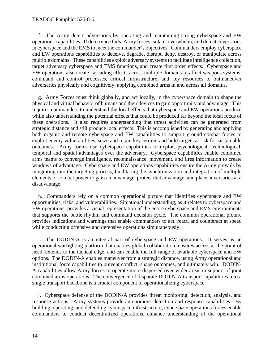f. The Army deters adversaries by operating and maintaining strong cyberspace and EW operations capabilities. If deterrence fails, Army forces isolate, overwhelm, and defeat adversaries in cyberspace and the EMS to meet the commander's objectives. Commanders employ cyberspace and EW operations capabilities to deceive, degrade, disrupt, deny, destroy, or manipulate across multiple domains. These capabilities exploit adversary systems to facilitate intelligence collection, target adversary cyberspace and EMS functions, and create first order effects. Cyberspace and EW operations also create cascading effects across multiple domains to affect weapons systems, command and control processes, critical infrastructure, and key resources to outmaneuver adversaries physically and cognitively, applying combined arms in and across all domains.

g. Army Forces must think globally, and act locally, in the cyberspace domain to shape the physical and virtual behavior of humans and their devices to gain opportunity and advantage. This requires commanders to understand the local effects that cyberspace and EW operations produce while also understanding the potential effects that could be produced far beyond the local focus of these operations. It also requires understanding that threat activities can be generated from strategic distance and still produce local effects. This is accomplished by generating and applying both organic and remote cyberspace and EW capabilities to support ground combat forces to exploit enemy vulnerabilities, seize and retain key terrain, and hold targets at risk for sustainable outcomes. Army forces use cyberspace capabilities to exploit psychological, technological, temporal and spatial advantages over the adversary. Cyberspace capabilities enable combined arms teams to converge intelligence, reconnaissance, movement, and fires information to create windows of advantage. Cyberspace and EW operations capabilities ensure the Army prevails by integrating into the targeting process, facilitating the synchronization and integration of multiple elements of combat power to gain an advantage, protect that advantage, and place adversaries at a disadvantage.

h. Commanders rely on a common operational picture that identifies cyberspace and EW opportunities, risks, and vulnerabilities. Situational understanding, as it relates to cyberspace and EW operations, provides a visual representation of the entire cyberspace and EMS environments that supports the battle rhythm and command decision cycle. The common operational picture provides indications and warnings that enable commanders to act, react, and counteract at speed while conducting offensive and defensive operations simultaneously.

i. The DODIN-A is an integral part of cyberspace and EW operations. It serves as an operational warfighting platform that enables global collaboration, ensures access at the point of need, extends to the tactical edge, and can enable the full range of available cyberspace and EW options. The DODIN-A enables maneuver from a strategic distance, using Army operational and institutional force capabilities to prevent conflict, shape outcomes, and ultimately win. DODIN-A capabilities allow Army forces to operate more dispersed over wider areas in support of joint combined arms operations. The convergence of disparate DODIN-A transport capabilities into a single transport backbone is a crucial component of operationalizing cyberspace.

j. Cyberspace defense of the DODIN-A provides threat monitoring, detection, analysis, and response actions. Army systems provide autonomous detection and response capabilities. By building, operating, and defending cyberspace infrastructure, cyberspace operations forces enable commanders to conduct decentralized operations, enhance understanding of the operational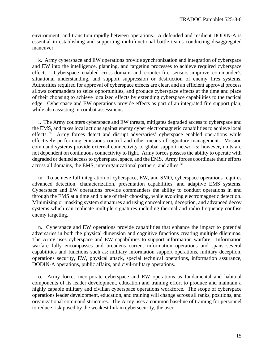environment, and transition rapidly between operations. A defended and resilient DODIN-A is essential in establishing and supporting multifunctional battle teams conducting disaggregated maneuver.

k. Army cyberspace and EW operations provide synchronization and integration of cyberspace and EW into the intelligence, planning, and targeting processes to achieve required cyberspace effects. Cyberspace enabled cross-domain and counter-fire sensors improve commander's situational understanding, and support suppression or destruction of enemy fires systems. Authorities required for approval of cyberspace effects are clear, and an efficient approval process allows commanders to seize opportunities, and produce cyberspace effects at the time and place of their choosing to achieve localized effects by extending cyberspace capabilities to the tactical edge. Cyberspace and EW operations provide effects as part of an integrated fire support plan, while also assisting in combat assessment.

l. The Army counters cyberspace and EW threats, mitigates degraded access to cyberspace and the EMS, and takes local actions against enemy cyber electromagnetic capabilities to achieve local effects.<sup>[30](#page-37-30)</sup> Army forces detect and disrupt adversaries' cyberspace enabled operations while effectively performing emissions control and other means of signature management. Mission command systems provide external connectivity to global support networks; however, units are not dependent on continuous connectivity to fight. Army forces possess the ability to operate with degraded or denied access to cyberspace, space, and the EMS. Army forces coordinate their efforts across all domains, the EMS, interorganizational partners, and allies.<sup>[31](#page-37-31)</sup>

m. To achieve full integration of cyberspace, EW, and SMO, cyberspace operations requires advanced detection, characterization, presentation capabilities, and adaptive EMS systems. Cyberspace and EW operations provide commanders the ability to conduct operations in and through the EMS at a time and place of their choosing, while avoiding electromagnetic detection. Minimizing or masking system signatures and using concealment, deception, and advanced decoy systems which can replicate multiple signatures including thermal and radio frequency confuse enemy targeting.

n. Cyberspace and EW operations provide capabilities that enhance the impact to potential adversaries in both the physical dimension and cognitive functions creating multiple dilemmas. The Army uses cyberspace and EW capabilities to support information warfare. Information warfare fully encompasses and broadens current information operations and spans several capabilities and functions such as: military information support operations, military deception, operations security, EW, physical attack, special technical operations, information assurance, DODIN-A operations, public affairs, and civil-military operations.

o. Army forces incorporate cyberspace and EW operations as fundamental and habitual components of its leader development, education and training effort to produce and maintain a highly capable military and civilian cyberspace operations workforce. The scope of cyberspace operations leader development, education, and training will change across all ranks, positions, and organizational command structures. The Army uses a common baseline of training for personnel to reduce risk posed by the weakest link in cybersecurity, the user.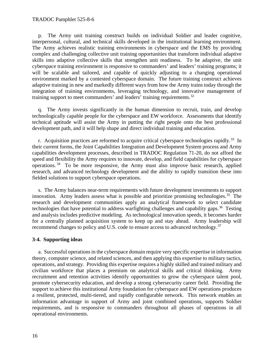p. The Army unit training construct builds on individual Soldier and leader cognitive, interpersonal, cultural, and technical skills developed in the institutional learning environment. The Army achieves realistic training environments in cyberspace and the EMS by providing complex and challenging collective unit training opportunities that transform individual adaptive skills into adaptive collective skills that strengthen unit readiness. To be adaptive, the unit cyberspace training environment is responsive to commanders' and leaders' training programs; it will be scalable and tailored, and capable of quickly adjusting to a changing operational environment marked by a contested cyberspace domain. The future training construct achieves adaptive training in new and markedly different ways from how the Army trains today through the integration of training environments, leveraging technology, and innovative management of training support to meet commanders' and leaders' training requirements.<sup>[32](#page-37-32)</sup>

q. The Army invests significantly in the human dimension to recruit, train, and develop technologically capable people for the cyberspace and EW workforce. Assessments that identify technical aptitude will assist the Army in putting the right people onto the best professional development path, and it will help shape and direct individual training and education.

r. Acquisition practices are reformed to acquire critical cyberspace technologies rapidly.<sup>[33](#page-37-33)</sup> In their current forms, the Joint Capabilities Integration and Development System process and Army capabilities development processes, described in TRADOC Regulation 71-20, do not afford the speed and flexibility the Army requires to innovate, develop, and field capabilities for cyberspace operations. [34](#page-37-34) To be more responsive, the Army must also improve basic research, applied research, and advanced technology development and the ability to rapidly transition these into fielded solutions to support cyberspace operations.

s. The Army balances near-term requirements with future development investments to support innovation. Army leaders assess what is possible and prioritize promising technologies.<sup>[35](#page-37-35)</sup> The research and development communities apply an analytical framework to select candidate technologies that have potential to address warfighting challenges and capability gaps.<sup>[36](#page-37-36)</sup> Testing and analysis includes predictive modeling. As technological innovation speeds, it becomes harder for a centrally planned acquisition system to keep up and stay ahead. Army leadership will recommend changes to policy and U.S. code to ensure access to advanced technology.<sup>[37](#page-37-37)</sup>

# <span id="page-19-0"></span>**3-4. Supporting ideas**

a. Successful operations in the cyberspace domain require very specific expertise in information theory, computer science, and related sciences, and then applying this expertise to military tactics, operations, and strategy. Providing this expertise requires a highly skilled and trained military and civilian workforce that places a premium on analytical skills and critical thinking. Army recruitment and retention activities identify opportunities to grow the cyberspace talent pool, promote cybersecurity education, and develop a strong cybersecurity career field. Providing the support to achieve this institutional Army foundation for cyberspace and EW operations produces a resilient, protected, multi-tiered, and rapidly configurable network. This network enables an information advantage in support of Army and joint combined operations, supports Soldier requirements, and is responsive to commanders throughout all phases of operations in all operational environments.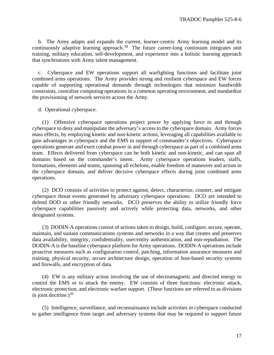b. The Army adapts and expands the current, learner-centric Army learning model and its continuously adaptive learning approach.<sup>[38](#page-37-38)</sup> The future career-long continuum integrates unit training, military education, self-development, and experience into a holistic learning approach that synchronizes with Army talent management.

c. Cyberspace and EW operations support all warfighting functions and facilitate joint combined arms operations. The Army provides strong and resilient cyberspace and EW forces capable of supporting operational demands through technologies that minimize bandwidth constraints, centralize computing operations in a common operating environment, and standardize the provisioning of network services across the Army.

d. Operational cyberspace.

(1) Offensive cyberspace operations project power by applying force in and through cyberspace to deny and manipulate the adversary's access to the cyberspace domain. Army forces mass effects, by employing kinetic and non-kinetic actions, leveraging all capabilities available to gain advantages in cyberspace and the EMS in support of commander's objectives. Cyberspace operations generate and exert combat power in and through cyberspace as part of a combined arms team. Effects delivered from cyberspace can be both kinetic and non-kinetic, and can span all domains based on the commander's intent. Army cyberspace operations leaders, staffs, formations, elements and teams, spanning all echelons, enable freedom of maneuver and action in the cyberspace domain, and deliver decisive cyberspace effects during joint combined arms operations.

(2) DCO consists of activities to protect against, detect, characterize, counter, and mitigate cyberspace threat events generated by adversary cyberspace operations. DCO are intended to defend DOD or other friendly networks. DCO preserves the ability to utilize friendly force cyberspace capabilities passively and actively while protecting data, networks, and other designated systems.

(3) DODIN-A operations consist of actions taken to design, build, configure, secure, operate, maintain, and sustain communications systems and networks in a way that creates and preserves data availability, integrity, confidentiality, user/entity authentication, and non-repudiation. The DODIN-A is the baseline cyberspace platform for Army operations. DODIN-A operations include proactive measures such as configuration control, patching, information assurance measures and training, physical security, secure architecture design, operation of host-based security systems and firewalls, and encryption of data.

(4) EW is any military action involving the use of electromagnetic and directed energy to control the EMS or to attack the enemy. EW consists of three functions: electronic attack, electronic protection, and electronic warfare support. (These functions are referred to as divisions in joint doctrine.) [39](#page-37-39)

(5) Intelligence, surveillance, and reconnaissance include activities in cyberspace conducted to gather intelligence from target and adversary systems that may be required to support future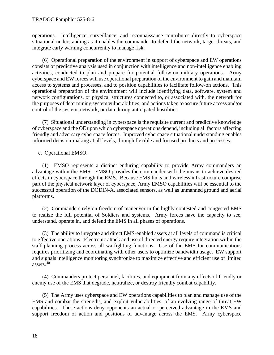operations. Intelligence, surveillance, and reconnaissance contributes directly to cyberspace situational understanding as it enables the commander to defend the network, target threats, and integrate early warning concurrently to manage risk.

(6) Operational preparation of the environment in support of cyberspace and EW operations consists of predictive analysis used in conjunction with intelligence and non-intelligence enabling activities, conducted to plan and prepare for potential follow-on military operations. Army cyberspace and EW forces will use operational preparation of the environment to gain and maintain access to systems and processes, and to position capabilities to facilitate follow-on actions. This operational preparation of the environment will include identifying data, software, system and network configurations, or physical structures connected to, or associated with, the network for the purposes of determining system vulnerabilities; and actions taken to assure future access and/or control of the system, network, or data during anticipated hostilities.

(7) Situational understanding in cyberspace is the requisite current and predictive knowledge of cyberspace and the OE upon which cyberspace operations depend, including all factors affecting friendly and adversary cyberspace forces. Improved cyberspace situational understanding enables informed decision-making at all levels, through flexible and focused products and processes.

# e. Operational EMSO.

(1) EMSO represents a distinct enduring capability to provide Army commanders an advantage within the EMS. EMSO provides the commander with the means to achieve desired effects in cyberspace through the EMS. Because EMS links and wireless infrastructure comprise part of the physical network layer of cyberspace, Army EMSO capabilities will be essential to the successful operation of the DODIN-A, associated sensors, as well as unmanned ground and aerial platforms.

(2) Commanders rely on freedom of maneuver in the highly contested and congested EMS to realize the full potential of Soldiers and systems. Army forces have the capacity to see, understand, operate in, and defend the EMS in all phases of operations.

(3) The ability to integrate and direct EMS-enabled assets at all levels of command is critical to effective operations. Electronic attack and use of directed energy require integration within the staff planning process across all warfighting functions. Use of the EMS for communications requires prioritizing and coordinating with other users to optimize bandwidth usage. EW support and signals intelligence monitoring synchronize to maximize effective and efficient use of limited assets.[40](#page-37-40)

(4) Commanders protect personnel, facilities, and equipment from any effects of friendly or enemy use of the EMS that degrade, neutralize, or destroy friendly combat capability.

(5) The Army uses cyberspace and EW operations capabilities to plan and manage use of the EMS and combat the strengths, and exploit vulnerabilities, of an evolving range of threat EW capabilities. These actions deny opponents an actual or perceived advantage in the EMS and support freedom of action and positions of advantage across the EMS. Army cyberspace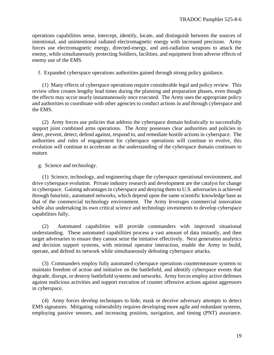operations capabilities sense, intercept, identify, locate, and distinguish between the sources of intentional, and unintentional radiated electromagnetic energy with increased precision. Army forces use electromagnetic energy, directed-energy, and anti-radiation weapons to attack the enemy, while simultaneously protecting Soldiers, facilities, and equipment from adverse effects of enemy use of the EMS.

f. Expanded cyberspace operations authorities gained through strong policy guidance.

(1) Many effects of cyberspace operations require considerable legal and policy review. This review often creates lengthy lead times during the planning and preparation phases, even though the effects may occur nearly instantaneously once executed. The Army uses the appropriate policy and authorities to coordinate with other agencies to conduct actions in and through cyberspace and the EMS.

(2) Army forces use policies that address the cyberspace domain holistically to successfully support joint combined arms operations. The Army possesses clear authorities and policies to deter, prevent, detect, defend against, respond to, and remediate hostile actions in cyberspace. The authorities and rules of engagement for cyberspace operations will continue to evolve, this evolution will continue to accelerate as the understanding of the cyberspace domain continues to mature.

g. Science and technology.

(1) Science, technology, and engineering shape the cyberspace operational environment, and drive cyberspace evolution. Private industry research and development are the catalyst for change in cyberspace. Gaining advantages in cyberspace and denying them to U.S. adversaries is achieved through futuristic, automated networks, which depend upon the same scientific knowledge base as that of the commercial technology environment. The Army leverages commercial innovation while also undertaking its own critical science and technology investments to develop cyberspace capabilities fully.

(2) Automated capabilities will provide commanders with improved situational understanding. These automated capabilities process a vast amount of data instantly, and then target adversaries to ensure they cannot seize the initiative effectively. Next generation analytics and decision support systems, with minimal operator interaction, enable the Army to build, operate, and defend its network while simultaneously defeating cyberspace attacks.

(3) Commanders employ fully automated cyberspace operations countermeasure systems to maintain freedom of action and initiative on the battlefield, and identify cyberspace events that degrade, disrupt, or destroy battlefield systems and networks. Army forces employ active defenses against malicious activities and support execution of counter offensive actions against aggressors in cyberspace.

(4) Army forces develop techniques to hide, mask or deceive adversary attempts to detect EMS signatures. Mitigating vulnerability requires developing more agile and redundant systems, employing passive sensors, and increasing position, navigation, and timing (PNT) assurance.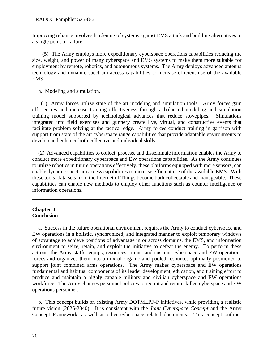Improving reliance involves hardening of systems against EMS attack and building alternatives to a single point of failure.

(5) The Army employs more expeditionary cyberspace operations capabilities reducing the size, weight, and power of many cyberspace and EMS systems to make them more suitable for employment by remote, robotics, and autonomous systems. The Army deploys advanced antenna technology and dynamic spectrum access capabilities to increase efficient use of the available EMS.

h. Modeling and simulation.

 (1) Army forces utilize state of the art modeling and simulation tools. Army forces gain efficiencies and increase training effectiveness through a balanced modeling and simulation training model supported by technological advances that reduce stovepipes. Simulations integrated into field exercises and gunnery create live, virtual, and constructive events that facilitate problem solving at the tactical edge. Army forces conduct training in garrison with support from state of the art cyberspace range capabilities that provide adaptable environments to develop and enhance both collective and individual skills.

(2) Advanced capabilities to collect, process, and disseminate information enables the Army to conduct more expeditionary cyberspace and EW operations capabilities. As the Army continues to utilize robotics in future operations effectively, these platforms equipped with more sensors, can enable dynamic spectrum access capabilities to increase efficient use of the available EMS. With these tools, data sets from the Internet of Things become both collectable and manageable. These capabilities can enable new methods to employ other functions such as counter intelligence or information operations.

# <span id="page-23-1"></span><span id="page-23-0"></span>**Chapter 4 Conclusion**

a. Success in the future operational environment requires the Army to conduct cyberspace and EW operations in a holistic, synchronized, and integrated manner to exploit temporary windows of advantage to achieve positions of advantage in or across domains, the EMS, and information environment to seize, retain, and exploit the initiative to defeat the enemy. To perform these actions, the Army staffs, equips, resources, trains, and sustains cyberspace and EW operations forces and organizes them into a mix of organic and pooled resources optimally positioned to support joint combined arms operations. The Army makes cyberspace and EW operations fundamental and habitual components of its leader development, education, and training effort to produce and maintain a highly capable military and civilian cyberspace and EW operations workforce. The Army changes personnel policies to recruit and retain skilled cyberspace and EW operations personnel.

b. This concept builds on existing Army DOTMLPF-P initiatives, while providing a realistic future vision (2025-2040). It is consistent with the *Joint Cyberspace Concept* and the Army Concept Framework, as well as other cyberspace related documents. This concept outlines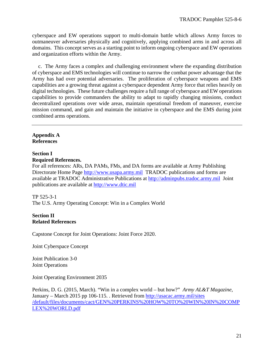cyberspace and EW operations support to multi-domain battle which allows Army forces to outmaneuver adversaries physically and cognitively, applying combined arms in and across all domains. This concept serves as a starting point to inform ongoing cyberspace and EW operations and organization efforts within the Army.

c. The Army faces a complex and challenging environment where the expanding distribution of cyberspace and EMS technologies will continue to narrow the combat power advantage that the Army has had over potential adversaries. The proliferation of cyberspace weapons and EMS capabilities are a growing threat against a cyberspace dependent Army force that relies heavily on digital technologies. These future challenges require a full range of cyberspace and EW operations capabilities to provide commanders the ability to adapt to rapidly changing missions, conduct decentralized operations over wide areas, maintain operational freedom of maneuver, exercise mission command, and gain and maintain the initiative in cyberspace and the EMS during joint combined arms operations.

# <span id="page-24-1"></span><span id="page-24-0"></span>**Appendix A References**

# **Section I Required References.**

For all references: ARs, DA PAMs, FMs, and DA forms are available at Army Publishing Directorate Home Page [http://www.usapa.army.mil](http://www.usapa.army.mil/) TRADOC publications and forms are available at TRADOC Administrative Publications at [http://adminpubs.tradoc.army.mil](http://adminpubs.tradoc.army.mil/) Joint publications are available at [http://www.dtic.mil](http://www.dtic.mil/)

# TP 525-3-1

The U.S. Army Operating Concept: Win in a Complex World

# **Section II Related References**

Capstone Concept for Joint Operations: Joint Force 2020.

Joint Cyberspace Concept

Joint Publication 3-0 Joint Operations

Joint Operating Environment 2035

Perkins, D. G. (2015, March). "Win in a complex world – but how?" *Army AL&T Magazine*, January – March 2015 pp 106-115. . Retrieved from [http://usacac.army.mil/sites](http://usacac.army.mil/sites/default/files/documents/cact/GEN%20PERKINS%20HOW%20TO%20WIN%20IN%20COMPLEX%20WORLD.pdf) [/default/files/documents/cact/GEN%20PERKINS%20HOW%20TO%20WIN%20IN%20COMP](http://usacac.army.mil/sites/default/files/documents/cact/GEN%20PERKINS%20HOW%20TO%20WIN%20IN%20COMPLEX%20WORLD.pdf) [LEX%20WORLD.pdf](http://usacac.army.mil/sites/default/files/documents/cact/GEN%20PERKINS%20HOW%20TO%20WIN%20IN%20COMPLEX%20WORLD.pdf)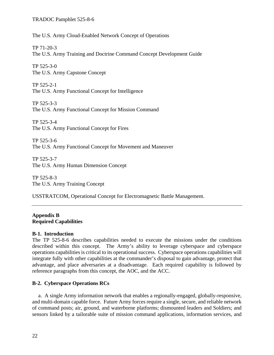The U.S. Army Cloud-Enabled Network Concept of Operations

TP 71-20-3

The U.S. Army Training and Doctrine Command Concept Development Guide

TP 525-3-0 The U.S. Army Capstone Concept

TP 525-2-1 The U.S. Army Functional Concept for Intelligence

TP 525-3-3 The U.S. Army Functional Concept for Mission Command

TP 525-3-4 The U.S. Army Functional Concept for Fires

TP 525-3-6 The U.S. Army Functional Concept for Movement and Maneuver

TP 525-3-7 The U.S. Army Human Dimension Concept

TP 525-8-3 The U.S. Army Training Concept

USSTRATCOM, Operational Concept for Electromagnetic Battle Management.

# <span id="page-25-1"></span><span id="page-25-0"></span>**Appendix B Required Capabilities**

# **B-1. Introduction**

The TP 525-8-6 describes capabilities needed to execute the missions under the conditions described within this concept. The Army's ability to leverage cyberspace and cyberspace operations capabilities is critical to its operational success. Cyberspace operations capabilities will integrate fully with other capabilities at the commander's disposal to gain advantage, protect that advantage, and place adversaries at a disadvantage. Each required capability is followed by reference paragraphs from this concept, the AOC, and the ACC.

# **B-2. Cyberspace Operations RCs**

a. A single Army information network that enables a regionally-engaged, globally-responsive, and multi-domain capable force. Future Army forces require a single, secure, and reliable network of command posts; air, ground, and waterborne platforms; dismounted leaders and Soldiers; and sensors linked by a tailorable suite of mission command applications, information services, and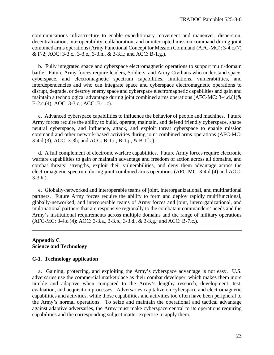communications infrastructure to enable expeditionary movement and maneuver, dispersion, decentralization, interoperability, collaboration, and uninterrupted mission command during joint combined arms operations (Army Functional Concept for Mission Command (AFC-MC): 3-4.c.(7) & F-2; AOC: 3-3.c., 3-3.e., 3-3.h., & 3-3.i.; and ACC: B-1.g.).

b. Fully integrated space and cyberspace electromagnetic operations to support multi-domain battle. Future Army forces require leaders, Soldiers, and Army Civilians who understand space, cyberspace, and electromagnetic spectrum capabilities, limitations, vulnerabilities, and interdependencies and who can integrate space and cyberspace electromagnetic operations to disrupt, degrade, or destroy enemy space and cyberspace electromagnetic capabilities and gain and maintain a technological advantage during joint combined arms operations (AFC-MC: 3-4.d.(1)& E-2.c.(4); AOC: 3-3.c.; ACC: B-1.c).

c. Advanced cyberspace capabilities to influence the behavior of people and machines. Future Army forces require the ability to build, operate, maintain, and defend friendly cyberspace, shape neutral cyberspace, and influence, attack, and exploit threat cyberspace to enable mission command and other network-based activities during joint combined arms operations (AFC-MC: 3-4.d.(3); AOC: 3-3h; and ACC: B-1.i., B-1.j., & B-1.k.).

d. A full complement of electronic warfare capabilities. Future Army forces require electronic warfare capabilities to gain or maintain advantage and freedom of action across all domains, and combat threats' strengths, exploit their vulnerabilities, and deny them advantage across the electromagnetic spectrum during joint combined arms operations (AFC-MC: 3-4.d.(4) and AOC:  $3-3.h.$ ).

e. Globally-networked and interoperable teams of joint, interorganizational, and multinational partners. Future Army forces require the ability to form and deploy rapidly multifunctional, globally-networked, and interoperable teams of Army forces and joint, interorganizational, and multinational partners that are responsive regionally to the combatant commanders' needs and the Army's institutional requirements across multiple domains and the range of military operations (AFC-MC: 3-4.c.(4); AOC: 3-3.a., 3-3.b., 3-3.d., & 3-3.g.; and ACC: B-7.c.).

# <span id="page-26-1"></span><span id="page-26-0"></span>**Appendix C Science and Technology**

# **C-1. Technology application**

a. Gaining, protecting, and exploiting the Army's cyberspace advantage is not easy. U.S. adversaries use the commercial marketplace as their combat developer, which makes them more nimble and adaptive when compared to the Army's lengthy research, development, test, evaluation, and acquisition processes. Adversaries capitalize on cyberspace and electromagnetic capabilities and activities, while those capabilities and activities too often have been peripheral to the Army's normal operations. To seize and maintain the operational and tactical advantage against adaptive adversaries, the Army must make cyberspace central to its operations requiring capabilities and the corresponding subject matter expertise to apply them.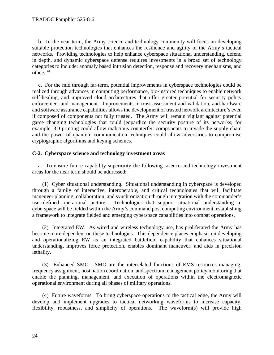b. In the near-term, the Army science and technology community will focus on developing suitable protection technologies that enhances the resilience and agility of the Army's tactical networks. Providing technologies to help enhance cyberspace situational understanding, defend in depth, and dynamic cyberspace defense requires investments in a broad set of technology categories to include: anomaly based intrusion detection, response and recovery mechanisms, and others. [41](#page-37-41)

c. For the mid through far-term, potential improvements in cyberspace technologies could be realized through advances in computing performance, bio-inspired techniques to enable network self-healing, and improved cloud architectures that offer greater potential for security policy enforcement and management. Improvements in trust assessment and validation, and hardware and software assurance capabilities allows the development of trusted network architecture's even if composed of components not fully trusted. The Army will remain vigilant against potential game changing technologies that could jeopardize the security posture of its networks; for example, 3D printing could allow malicious counterfeit components to invade the supply chain and the power of quantum communication techniques could allow adversaries to compromise cryptographic algorithms and keying schemes.

# **C-2. Cyberspace science and technology investment areas**

a. To ensure future capability superiority the following science and technology investment areas for the near term should be addressed:

(1) Cyber situational understanding. Situational understanding in cyberspace is developed through a family of interactive, interoperable, and critical technologies that will facilitate maneuver planning, collaboration, and synchronization through integration with the commander's user-defined operational picture. Technologies that support situational understanding in cyberspace will be fielded within the Army's command post computing environment, establishing a framework to integrate fielded and emerging cyberspace capabilities into combat operations.

(2) Integrated EW. As wired and wireless technology use, has proliferated the Army has become more dependent on these technologies. This dependence places emphasis on developing and operationalizing EW as an integrated battlefield capability that enhances situational understanding, improves force protection, enables dominant maneuver, and aids in precision lethality.

(3) Enhanced SMO. SMO are the interrelated functions of EMS resources managing, frequency assignment, host nation coordination, and spectrum management policy monitoring that enable the planning, management, and execution of operations within the electromagnetic operational environment during all phases of military operations.

(4) Future waveforms. To bring cyberspace operations to the tactical edge, the Army will develop and implement upgrades to tactical networking waveforms to increase capacity, flexibility, robustness, and simplicity of operations. The waveform(s) will provide high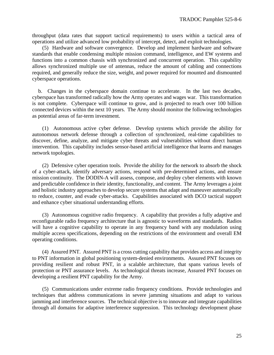throughput (data rates that support tactical requirements) to users within a tactical area of operations and utilize advanced low probability of intercept, detect, and exploit technologies.

(5) Hardware and software convergence. Develop and implement hardware and software standards that enable condensing multiple mission command, intelligence, and EW systems and functions into a common chassis with synchronized and concurrent operation. This capability allows synchronized multiple use of antennas, reduce the amount of cabling and connections required, and generally reduce the size, weight, and power required for mounted and dismounted cyberspace operations.

b. Changes in the cyberspace domain continue to accelerate. In the last two decades, cyberspace has transformed radically how the Army operates and wages war. This transformation is not complete. Cyberspace will continue to grow, and is projected to reach over 100 billion connected devices within the next 10 years. The Army should monitor the following technologies as potential areas of far-term investment.

(1) Autonomous active cyber defense. Develop systems which provide the ability for autonomous network defense through a collection of synchronized, real-time capabilities to discover, define, analyze, and mitigate cyber threats and vulnerabilities without direct human intervention. This capability includes sensor-based artificial intelligence that learns and manages network topologies.

(2) Defensive cyber operation tools. Provide the ability for the network to absorb the shock of a cyber-attack, identify adversary actions, respond with pre-determined actions, and ensure mission continuity. The DODIN-A will assess, compose, and deploy cyber elements with known and predictable confidence in their identity, functionality, and content. The Army leverages a joint and holistic industry approaches to develop secure systems that adapt and maneuver automatically to reduce, counter, and evade cyber-attacks. Capabilities associated with DCO tactical support and enhance cyber situational understanding efforts.

(3) Autonomous cognitive radio frequency. A capability that provides a fully adaptive and reconfigurable radio frequency architecture that is agnostic to waveforms and standards. Radios will have a cognitive capability to operate in any frequency band with any modulation using multiple access specifications, depending on the restrictions of the environment and overall EM operating conditions.

(4) Assured PNT. Assured PNT is a cross cutting capability that provides access and integrity to PNT information in global positioning system-denied environments. Assured PNT focuses on providing resilient and robust PNT, in a scalable architecture, that spans various levels of protection or PNT assurance levels. As technological threats increase, Assured PNT focuses on developing a resilient PNT capability for the Army.

(5) Communications under extreme radio frequency conditions. Provide technologies and techniques that address communications in severe jamming situations and adapt to various jamming and interference sources. The technical objective is to innovate and integrate capabilities through all domains for adaptive interference suppression. This technology development phase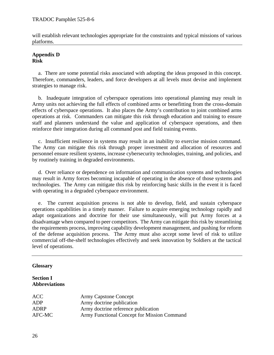will establish relevant technologies appropriate for the constraints and typical missions of various platforms.

# <span id="page-29-1"></span><span id="page-29-0"></span>**Appendix D Risk**

a. There are some potential risks associated with adopting the ideas proposed in this concept. Therefore, commanders, leaders, and force developers at all levels must devise and implement strategies to manage risk.

b. Inadequate integration of cyberspace operations into operational planning may result in Army units not achieving the full effects of combined arms or benefitting from the cross-domain effects of cyberspace operations. It also places the Army's contribution to joint combined arms operations at risk. Commanders can mitigate this risk through education and training to ensure staff and planners understand the value and application of cyberspace operations, and then reinforce their integration during all command post and field training events.

c. Insufficient resilience in systems may result in an inability to exercise mission command. The Army can mitigate this risk through proper investment and allocation of resources and personnel ensure resilient systems, increase cybersecurity technologies, training, and policies, and by routinely training in degraded environments.

d. Over reliance or dependence on information and communication systems and technologies may result in Army forces becoming incapable of operating in the absence of those systems and technologies. The Army can mitigate this risk by reinforcing basic skills in the event it is faced with operating in a degraded cyberspace environment.

e. The current acquisition process is not able to develop, field, and sustain cyberspace operations capabilities in a timely manner. Failure to acquire emerging technology rapidly and adapt organizations and doctrine for their use simultaneously, will put Army forces at a disadvantage when compared to peer competitors. The Army can mitigate this risk by streamlining the requirements process, improving capability development management, and pushing for reform of the defense acquisition process. The Army must also accept some level of risk to utilize commercial off-the-shelf technologies effectively and seek innovation by Soldiers at the tactical level of operations.

# <span id="page-29-2"></span>**Glossary**

# **Section I Abbreviations**

| <b>ACC</b>  | <b>Army Capstone Concept</b>                |
|-------------|---------------------------------------------|
| ADP         | Army doctrine publication                   |
| <b>ADRP</b> | Army doctrine reference publication         |
| AFC-MC      | Army Functional Concept for Mission Command |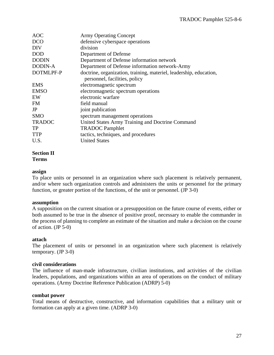| <b>AOC</b>     | <b>Army Operating Concept</b>                                                                       |
|----------------|-----------------------------------------------------------------------------------------------------|
| <b>DCO</b>     | defensive cyberspace operations                                                                     |
| <b>DIV</b>     | division                                                                                            |
| <b>DOD</b>     | Department of Defense                                                                               |
| <b>DODIN</b>   | Department of Defense information network                                                           |
| <b>DODIN-A</b> | Department of Defense information network-Army                                                      |
| DOTMLPF-P      | doctrine, organization, training, materiel, leadership, education,<br>personnel, facilities, policy |
| <b>EMS</b>     | electromagnetic spectrum                                                                            |
| <b>EMSO</b>    | electromagnetic spectrum operations                                                                 |
| EW             | electronic warfare                                                                                  |
| <b>FM</b>      | field manual                                                                                        |
| JP             | joint publication                                                                                   |
| <b>SMO</b>     | spectrum management operations                                                                      |
| <b>TRADOC</b>  | United States Army Training and Doctrine Command                                                    |
| <b>TP</b>      | <b>TRADOC</b> Pamphlet                                                                              |
| <b>TTP</b>     | tactics, techniques, and procedures                                                                 |
| U.S.           | <b>United States</b>                                                                                |
|                |                                                                                                     |

# **Section II**

**Terms**

# **assign**

To place units or personnel in an organization where such placement is relatively permanent, and/or where such organization controls and administers the units or personnel for the primary function, or greater portion of the functions, of the unit or personnel. (JP 3-0)

# **assumption**

A supposition on the current situation or a presupposition on the future course of events, either or both assumed to be true in the absence of positive proof, necessary to enable the commander in the process of planning to complete an estimate of the situation and make a decision on the course of action. (JP 5-0)

# **attach**

The placement of units or personnel in an organization where such placement is relatively temporary. (JP 3-0)

# **civil considerations**

The influence of man-made infrastructure, civilian institutions, and activities of the civilian leaders, populations, and organizations within an area of operations on the conduct of military operations. (Army Doctrine Reference Publication (ADRP) 5-0)

# **combat power**

Total means of destructive, constructive, and information capabilities that a military unit or formation can apply at a given time. (ADRP 3-0)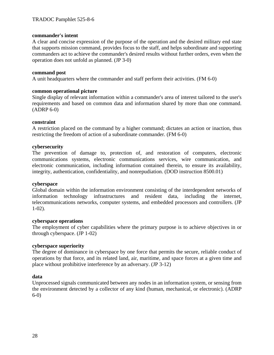# **commander's intent**

A clear and concise expression of the purpose of the operation and the desired military end state that supports mission command, provides focus to the staff, and helps subordinate and supporting commanders act to achieve the commander's desired results without further orders, even when the operation does not unfold as planned. (JP 3-0)

### **command post**

A unit headquarters where the commander and staff perform their activities. (FM 6-0)

### **common operational picture**

Single display of relevant information within a commander's area of interest tailored to the user's requirements and based on common data and information shared by more than one command. (ADRP 6-0)

### **constraint**

A restriction placed on the command by a higher command; dictates an action or inaction, thus restricting the freedom of action of a subordinate commander. (FM 6-0)

# **cybersecurity**

The prevention of damage to, protection of, and restoration of computers, electronic communications systems, electronic communications services, wire communication, and electronic communication, including information contained therein, to ensure its availability, integrity, authentication, confidentiality, and nonrepudiation. (DOD instruction 8500.01)

#### **cyberspace**

Global domain within the information environment consisting of the interdependent networks of information technology infrastructures and resident data, including the internet, telecommunications networks, computer systems, and embedded processors and controllers. (JP 1-02).

#### **cyberspace operations**

The employment of cyber capabilities where the primary purpose is to achieve objectives in or through cyberspace. (JP 1-02)

# **cyberspace superiority**

The degree of dominance in cyberspace by one force that permits the secure, reliable conduct of operations by that force, and its related land, air, maritime, and space forces at a given time and place without prohibitive interference by an adversary. (JP 3-12)

#### **data**

Unprocessed signals communicated between any nodes in an information system, or sensing from the environment detected by a collector of any kind (human, mechanical, or electronic). (ADRP 6-0)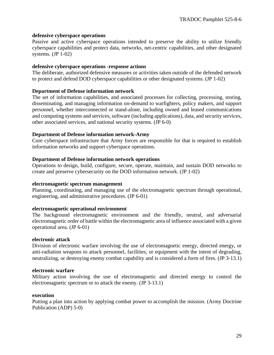### **defensive cyberspace operations**

Passive and active cyberspace operations intended to preserve the ability to utilize friendly cyberspace capabilities and protect data, networks, net-centric capabilities, and other designated systems. (JP 1-02)

### **defensive cyberspace operations -response actions**

The deliberate, authorized defensive measures or activities taken outside of the defended network to protect and defend DOD cyberspace capabilities or other designated systems. (JP 1-02)

### **Department of Defense information network**

The set of information capabilities, and associated processes for collecting, processing, storing, disseminating, and managing information on-demand to warfighters, policy makers, and support personnel, whether interconnected or stand-alone, including owned and leased communications and computing systems and services, software (including applications), data, and security services, other associated services, and national security systems. (JP 6-0)

### **Department of Defense information network-Army**

Core cyberspace infrastructure that Army forces are responsible for that is required to establish information networks and support cyberspace operations.

### **Department of Defense information network operations**

Operations to design, build, configure, secure, operate, maintain, and sustain DOD networks to create and preserve cybersecurity on the DOD information network. (JP 1-02)

### **electromagnetic spectrum management**

Planning, coordinating, and managing use of the electromagnetic spectrum through operational, engineering, and administrative procedures. (JP 6-01)

#### **electromagnetic operational environment**

The background electromagnetic environment and the friendly, neutral, and adversarial electromagnetic order of battle within the electromagnetic area of influence associated with a given operational area. (JP 6-01)

#### **electronic attack**

Division of electronic warfare involving the use of electromagnetic energy, directed energy, or anti-radiation weapons to attack personnel, facilities, or equipment with the intent of degrading, neutralizing, or destroying enemy combat capability and is considered a form of fires. (JP 3-13.1)

#### **electronic warfare**

Military action involving the use of electromagnetic and directed energy to control the electromagnetic spectrum or to attack the enemy. (JP 3-13.1)

#### **execution**

Putting a plan into action by applying combat power to accomplish the mission. (Army Doctrine Publication (ADP) 5-0)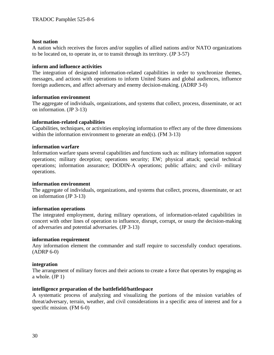# **host nation**

A nation which receives the forces and/or supplies of allied nations and/or NATO organizations to be located on, to operate in, or to transit through its territory. (JP 3-57)

# **inform and influence activities**

The integration of designated information-related capabilities in order to synchronize themes, messages, and actions with operations to inform United States and global audiences, influence foreign audiences, and affect adversary and enemy decision-making. (ADRP 3-0)

### **information environment**

The aggregate of individuals, organizations, and systems that collect, process, disseminate, or act on information. (JP 3-13)

### **information-related capabilities**

Capabilities, techniques, or activities employing information to effect any of the three dimensions within the information environment to generate an end(s). (FM 3-13)

### **information warfare**

Information warfare spans several capabilities and functions such as: military information support operations; military deception; operations security; EW; physical attack; special technical operations; information assurance; DODIN-A operations; public affairs; and civil- military operations.

#### **information environment**

The aggregate of individuals, organizations, and systems that collect, process, disseminate, or act on information (JP 3-13)

#### **information operations**

The integrated employment, during military operations, of information-related capabilities in concert with other lines of operation to influence, disrupt, corrupt, or usurp the decision-making of adversaries and potential adversaries. (JP 3-13)

#### **information requirement**

Any information element the commander and staff require to successfully conduct operations. (ADRP 6-0)

#### **integration**

The arrangement of military forces and their actions to create a force that operates by engaging as a whole. (JP 1)

# **intelligence preparation of the battlefield/battlespace**

A systematic process of analyzing and visualizing the portions of the mission variables of threat/adversary, terrain, weather, and civil considerations in a specific area of interest and for a specific mission. (FM 6-0)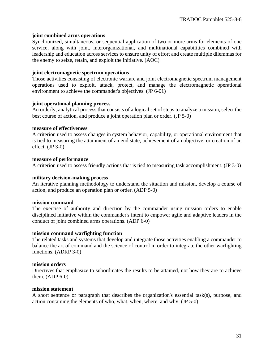#### **joint combined arms operations**

Synchronized, simultaneous, or sequential application of two or more arms for elements of one service, along with joint, interorganizational, and multinational capabilities combined with leadership and education across services to ensure unity of effort and create multiple dilemmas for the enemy to seize, retain, and exploit the initiative. (AOC)

#### **joint electromagnetic spectrum operations**

Those activities consisting of electronic warfare and joint electromagnetic spectrum management operations used to exploit, attack, protect, and manage the electromagnetic operational environment to achieve the commander's objectives. (JP 6-01)

### **joint operational planning process**

An orderly, analytical process that consists of a logical set of steps to analyze a mission, select the best course of action, and produce a joint operation plan or order. (JP 5-0)

# **measure of effectiveness**

A criterion used to assess changes in system behavior, capability, or operational environment that is tied to measuring the attainment of an end state, achievement of an objective, or creation of an effect. (JP 3-0)

### **measure of performance**

A criterion used to assess friendly actions that is tied to measuring task accomplishment. (JP 3-0)

#### **military decision-making process**

An iterative planning methodology to understand the situation and mission, develop a course of action, and produce an operation plan or order. (ADP 5-0)

#### **mission command**

The exercise of authority and direction by the commander using mission orders to enable disciplined initiative within the commander's intent to empower agile and adaptive leaders in the conduct of joint combined arms operations. (ADP 6-0)

#### **mission command warfighting function**

The related tasks and systems that develop and integrate those activities enabling a commander to balance the art of command and the science of control in order to integrate the other warfighting functions. (ADRP 3-0)

#### **mission orders**

Directives that emphasize to subordinates the results to be attained, not how they are to achieve them.  $(ADP 6-0)$ 

#### **mission statement**

A short sentence or paragraph that describes the organization's essential task(s), purpose, and action containing the elements of who, what, when, where, and why. (JP 5-0)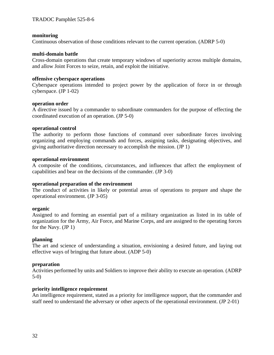# **monitoring**

Continuous observation of those conditions relevant to the current operation. (ADRP 5-0)

### **multi-domain battle**

Cross-domain operations that create temporary windows of superiority across multiple domains, and allow Joint Forces to seize, retain, and exploit the initiative.

### **offensive cyberspace operations**

Cyberspace operations intended to project power by the application of force in or through cyberspace. (JP 1-02)

### **operation order**

A directive issued by a commander to subordinate commanders for the purpose of effecting the coordinated execution of an operation. (JP 5-0)

# **operational control**

The authority to perform those functions of command over subordinate forces involving organizing and employing commands and forces, assigning tasks, designating objectives, and giving authoritative direction necessary to accomplish the mission. (JP 1)

### **operational environment**

A composite of the conditions, circumstances, and influences that affect the employment of capabilities and bear on the decisions of the commander. (JP 3-0)

# **operational preparation of the environment**

The conduct of activities in likely or potential areas of operations to prepare and shape the operational environment. (JP 3-05)

#### **organic**

Assigned to and forming an essential part of a military organization as listed in its table of organization for the Army, Air Force, and Marine Corps, and are assigned to the operating forces for the Navy. (JP 1)

# **planning**

The art and science of understanding a situation, envisioning a desired future, and laying out effective ways of bringing that future about. (ADP 5-0)

#### **preparation**

Activities performed by units and Soldiers to improve their ability to execute an operation. (ADRP 5-0)

# **priority intelligence requirement**

An intelligence requirement, stated as a priority for intelligence support, that the commander and staff need to understand the adversary or other aspects of the operational environment. (JP 2-01)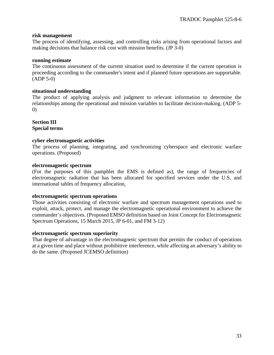#### **risk management**

The process of identifying, assessing, and controlling risks arising from operational factors and making decisions that balance risk cost with mission benefits. (JP 3-0)

### **running estimate**

The continuous assessment of the current situation used to determine if the current operation is proceeding according to the commander's intent and if planned future operations are supportable. (ADP 5-0)

### **situational understanding**

The product of applying analysis and judgment to relevant information to determine the relationships among the operational and mission variables to facilitate decision-making. (ADP 5- 0)

**Section III Special terms**

### **cyber electromagnetic activities**

The process of planning, integrating, and synchronizing cyberspace and electronic warfare operations. (Proposed)

### **electromagnetic spectrum**

(For the purposes of this pamphlet the EMS is defined as), the range of frequencies of electromagnetic radiation that has been allocated for specified services under the U.S. and international tables of frequency allocation.

#### **electromagnetic spectrum operations**

Those activities consisting of electronic warfare and spectrum management operations used to exploit, attack, protect, and manage the electromagnetic operational environment to achieve the commander's objectives. (Proposed EMSO definition based on Joint Concept for Electromagnetic Spectrum Operations, 15 March 2015, JP 6-01, and FM 3-12)

#### **electromagnetic spectrum superiority**

That degree of advantage in the electromagnetic spectrum that permits the conduct of operations at a given time and place without prohibitive interference, while affecting an adversary's ability to do the same. (Proposed JCEMSO definition)